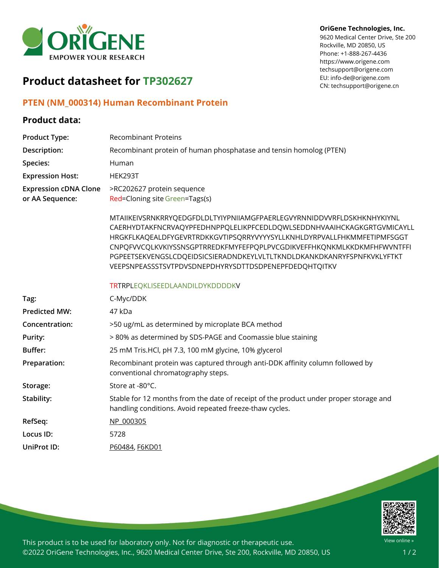

# **Product datasheet for TP302627**

## **PTEN (NM\_000314) Human Recombinant Protein**

### **Product data:**

## **Product Type:** Recombinant Proteins **Description:** Recombinant protein of human phosphatase and tensin homolog (PTEN) Species: Human **Expression Host:** HEK293T **Expression cDNA Clone or AA Sequence:** >RC202627 protein sequence Red=Cloning site Green=Tags(s) MTAIIKEIVSRNKRRYQEDGFDLDLTYIYPNIIAMGFPAERLEGVYRNNIDDVVRFLDSKHKNHYKIYNL CAERHYDTAKFNCRVAQYPFEDHNPPQLELIKPFCEDLDQWLSEDDNHVAAIHCKAGKGRTGVMICAYLL HRGKFLKAQEALDFYGEVRTRDKKGVTIPSQRRYVYYYSYLLKNHLDYRPVALLFHKMMFETIPMFSGGT CNPQFVVCQLKVKIYSSNSGPTRREDKFMYFEFPQPLPVCGDIKVEFFHKQNKMLKKDKMFHFWVNTFFI PGPEETSEKVENGSLCDQEIDSICSIERADNDKEYLVLTLTKNDLDKANKDKANRYFSPNFKVKLYFTKT VEEPSNPEASSSTSVTPDVSDNEPDHYRYSDTTDSDPENEPFDEDQHTQITKV TRTRPLEQKLISEEDLAANDILDYKDDDDKV **Tag:** C-Myc/DDK **Predicted MW:** 47 kDa **Concentration:** >50 ug/mL as determined by microplate BCA method **Purity:** > 80% as determined by SDS-PAGE and Coomassie blue staining **Buffer:** 25 mM Tris.HCl, pH 7.3, 100 mM glycine, 10% glycerol **Preparation:** Recombinant protein was captured through anti-DDK affinity column followed by conventional chromatography steps. Storage: Store at -80<sup>°</sup>C. **Stability:** Stable for 12 months from the date of receipt of the product under proper storage and handling conditions. Avoid repeated freeze-thaw cycles. **RefSeq:** [NP\\_000305](https://www.ncbi.nlm.nih.gov/nuccore/NP_000305) **Locus ID:** 5728 **UniProt ID:** [P60484,](https://www.uniprot.org/uniprot/P60484) [F6KD01](https://www.uniprot.org/uniprot/F6KD01)



View online »

This product is to be used for laboratory only. Not for diagnostic or therapeutic use. ©2022 OriGene Technologies, Inc., 9620 Medical Center Drive, Ste 200, Rockville, MD 20850, US

#### **OriGene Technologies, Inc.**

9620 Medical Center Drive, Ste 200 Rockville, MD 20850, US Phone: +1-888-267-4436 https://www.origene.com techsupport@origene.com EU: info-de@origene.com CN: techsupport@origene.cn